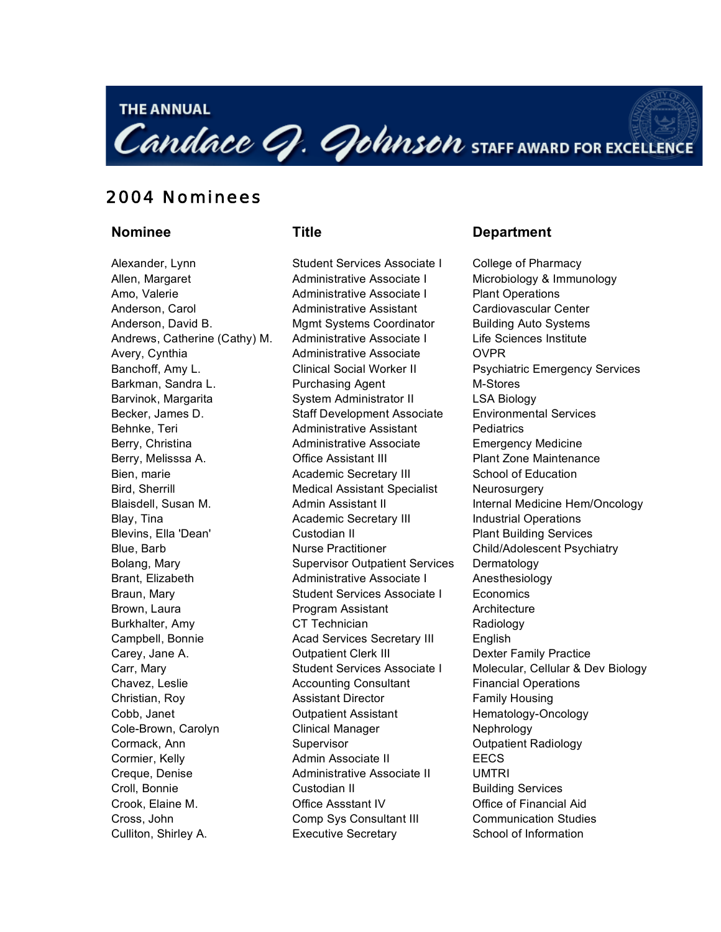# **THE ANNUAL**



# 2004 Nominees

# Alexander, Lynn Student Services Associate I College of Pharmacy

Allen, Margaret **Administrative Associate I** Microbiology & Immunology Amo, Valerie **Allection Commentative Associate I** Plant Operations Anderson, Carol **Administrative Assistant** Cardiovascular Center Anderson, David B. Mgmt Systems Coordinator Building Auto Systems Andrews, Catherine (Cathy) M. Administrative Associate I Life Sciences Institute Avery, Cynthia **Administrative Associate** OVPR Barkman, Sandra L. **Barkman, Sandra L. Republik Purchasing Agent** M-Stores Barvinok, Margarita **System Administrator II** LSA Biology Becker, James D. Staff Development Associate Environmental Services Behnke, Teri **Administrative Assistant** Pediatrics Berry, Christina **Administrative Associate** Emergency Medicine Berry, Melisssa A. **Commission Commission** Office Assistant III **Plant Zone Maintenance** Bien, marie **Academic Secretary III** School of Education Bird, Sherrill **Medical Assistant Specialist** Neurosurgery Blay, Tina **Academic Secretary III** Industrial Operations Blevins, Ella 'Dean' Custodian II Plant Building Services Blue, Barb **Nurse Practitioner** Child/Adolescent Psychiatry Child Bolang, Mary **Supervisor Outpatient Services** Dermatology Brant, Elizabeth **Administrative Associate I** Anesthesiology Braun, Mary **Student Services Associate I** Economics Brown, Laura **Program Assistant** Architecture Burkhalter, Amy CT Technician Radiology Campbell, Bonnie Acad Services Secretary III English Carey, Jane A. **Carey, Jane A.** Outpatient Clerk III **Dexter Family Practice** Chavez, Leslie **Accounting Consultant** Financial Operations Christian, Roy **Assistant Director** Family Housing Cobb, Janet Outpatient Assistant Hematology-Oncology Cole-Brown, Carolyn Clinical Manager Nephrology Cormack, Ann **Supervisor** Cormack, Ann **Supervisor** Cormack, Ann **Corporation** Cormier, Kelly **Admin Associate II** EECS Creque, Denise Administrative Associate II UMTRI Croll, Bonnie **Custodian II** Custodian II Building Services Crook, Elaine M. Office Assstant IV Office of Financial Aid Cross, John Comp Sys Consultant III Communication Studies Culliton, Shirley A. **Executive Secretary** School of Information

## **Nominee Title Title Department**

Banchoff, Amy L. **Clinical Social Worker II** Psychiatric Emergency Services Blaisdell, Susan M. **Admin Assistant II** Internal Medicine Hem/Oncology Carr, Mary **Student Services Associate I** Molecular, Cellular & Dev Biology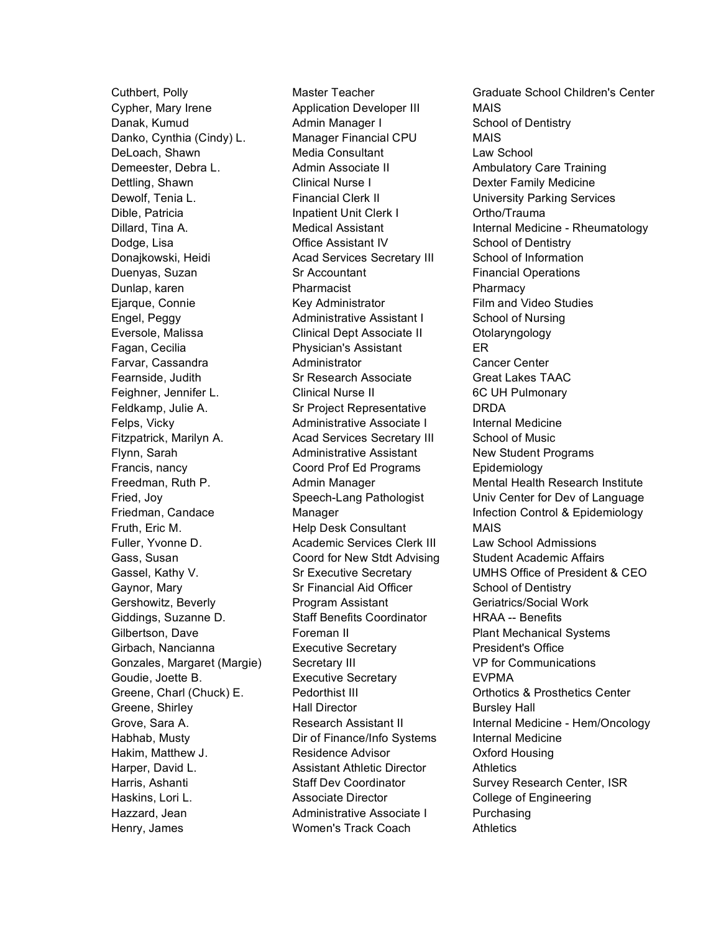Cypher, Mary Irene **Application Developer III** MAIS Danak, Kumud **Admin Manager I** School of Dentistry Danko, Cynthia (Cindy) L. Manager Financial CPU MAIS DeLoach, Shawn **Media Consultant** Law School Demeester, Debra L. **Admin Associate II** Ambulatory Care Training Dettling, Shawn **Clinical Nurse I** Dexter Family Medicine Dewolf, Tenia L. **Financial Clerk II** University Parking Services Dible, Patricia **Inpatient Unit Clerk I** Ortho/Trauma Dodge, Lisa **Dodge, Lisa** Office Assistant IV School of Dentistry Donajkowski, Heidi **Acad Services Secretary III** School of Information Duenyas, Suzan **Sr Accountant** Sr Accountant **Financial Operations** Dunlap, karen Pharmacist Pharmacy Ejarque, Connie **Key Administrator** Film and Video Studies Engel, Peggy **Administrative Assistant I** School of Nursing Eversole, Malissa Clinical Dept Associate II Otolaryngology Fagan, Cecilia **Physician's Assistant** ER Farvar, Cassandra **Administrator** Cancer Center Fearnside, Judith Sr Research Associate Great Lakes TAAC Feighner, Jennifer L. Clinical Nurse II 6C UH Pulmonary Feldkamp, Julie A. Sr Project Representative DRDA Felps, Vicky **Administrative Associate I** Internal Medicine Fitzpatrick, Marilyn A. **Acad Services Secretary III** School of Music Flynn, Sarah **Administrative Assistant** New Student Programs Francis, nancy Coord Prof Ed Programs Epidemiology Fruth, Eric M. No. 1998 Help Desk Consultant MAIS Fuller, Yvonne D. Academic Services Clerk III Law School Admissions Gass, Susan **Coord for New Stdt Advising** Student Academic Affairs Gaynor, Mary **SRIPT ST ST AND ST Financial Aid Officer** School of Dentistry Gershowitz, Beverly **Program Assistant** Geriatrics/Social Work Giddings, Suzanne D. Staff Benefits Coordinator HRAA -- Benefits Gilbertson, Dave **Foreman II Foreman II** Plant Mechanical Systems Girbach, Nancianna **Executive Secretary** President's Office Gonzales, Margaret (Margie) Secretary III Source All VP for Communications Goudie, Joette B. **Executive Secretary** EVPMA Greene, Shirley **Hall Director** Bursley Hall Director Habhab, Musty **Dir of Finance/Info Systems** Internal Medicine Hakim, Matthew J. **Residence Advisor Canadia** Oxford Housing Harper, David L. **Assistant Athletic Director** Athletics Haskins, Lori L. **Associate Director** College of Engineering Hazzard, Jean **Machala Administrative Associate I** Purchasing Henry, James **Momen's Track Coach** Athletics

Cuthbert, Polly Master Teacher Graduate School Children's Center Dillard, Tina A. Medical Assistant Internal Medicine - Rheumatology Freedman, Ruth P. **Admin Manager** Mental Health Research Institute Fried, Joy **Speech-Lang Pathologist** Univ Center for Dev of Language Univ Center for Dev of Language Friedman, Candace **Infection Control & Example 2** Manager **Infection Control & Epidemiology** Gassel, Kathy V. Sr Executive Secretary UMHS Office of President & CEO Greene, Charl (Chuck) E. Pedorthist III **Charl Charl Chuck** Center Grove, Sara A. **Research Assistant II Internal Medicine - Hem/Oncology** Harris, Ashanti **Staff Dev Coordinator** Survey Research Center, ISR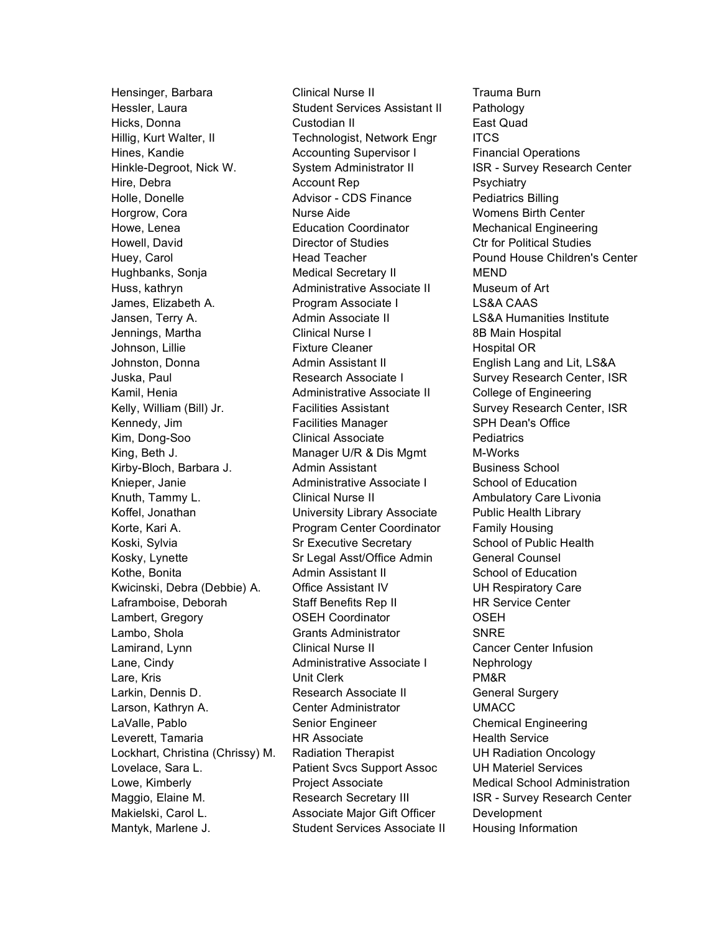Hensinger, Barbara **Clinical Nurse II** Trauma Burn Hessler, Laura **Student Services Assistant II** Pathology Hicks, Donna Custodian II East Quad Hillig, Kurt Walter, II Technologist, Network Engr ITCS Hines, Kandie **Accounting Supervisor I** Financial Operations Hire, Debra **Account Rep** Psychiatry **Provides** Holle, Donelle **Advisor** - CDS Finance Pediatrics Billing Horgrow, Cora **Nurse Aide** Womens Birth Center Howe, Lenea **Education Coordinator** Mechanical Engineering Howell, David **Director of Studies** Ctr for Political Studies Hughbanks, Sonja **Medical Secretary II** MEND Huss, kathryn **Administrative Associate II** Museum of Art James, Elizabeth A. Program Associate I LS&A CAAS Jansen, Terry A. Admin Associate II LS&A Humanities Institute Jennings, Martha **Clinical Nurse I** 8B Main Hospital Johnson, Lillie Fixture Cleaner Hospital OR Johnston, Donna **Admin Assistant II** English Lang and Lit, LS&A Kamil, Henia **Administrative Associate II** College of Engineering Kennedy, Jim **Facilities Manager** SPH Dean's Office Kim, Dong-Soo Clinical Associate Pediatrics King, Beth J. Manager U/R & Dis Mgmt M-Works Kirby-Bloch, Barbara J. Admin Assistant Business School Knieper, Janie **Administrative Associate I** School of Education Knuth, Tammy L. **Clinical Nurse II Ambulatory Care Livonia** Koffel, Jonathan **National Library Associate** Public Health Library Korte, Kari A. **Program Center Coordinator** Family Housing Koski, Sylvia Sr Executive Secretary School of Public Health Kosky, Lynette Sr Legal Asst/Office Admin General Counsel Kothe, Bonita **Admin Assistant II** School of Education Kwicinski, Debra (Debbie) A. Office Assistant IV UH Respiratory Care Laframboise, Deborah Staff Benefits Rep II HR Service Center Lambert, Gregory OSEH Coordinator OSEH Lambo, Shola Grants Administrator SNRE Lamirand, Lynn Clinical Nurse II Cancer Center Infusion Lane, Cindy **Administrative Associate I** Nephrology Lare, Kris **Contract Clerk** Unit Clerk **PM&R** Larkin, Dennis D. **Research Associate II** General Surgery Larson, Kathryn A. Center Administrator UMACC LaValle, Pablo **Senior Engineer** Chemical Engineering Leverett, Tamaria **HR Associate** Health Service Lockhart, Christina (Chrissy) M. Radiation Therapist UH Radiation Oncology Lovelace, Sara L. Patient Svcs Support Assoc UH Materiel Services Makielski, Carol L. Associate Major Gift Officer Development Mantyk, Marlene J. Student Services Associate II Housing Information

Hinkle-Degroot, Nick W. System Administrator II ISR - Survey Research Center Huey, Carol **Head Teacher Head Teacher** Pound House Children's Center Juska, Paul **Research Associate I** Survey Research Center, ISR Kelly, William (Bill) Jr. Facilities Assistant Survey Research Center, ISR Lowe, Kimberly **Project Associate** Medical School Administration Maggio, Elaine M. **Research Secretary III** ISR - Survey Research Center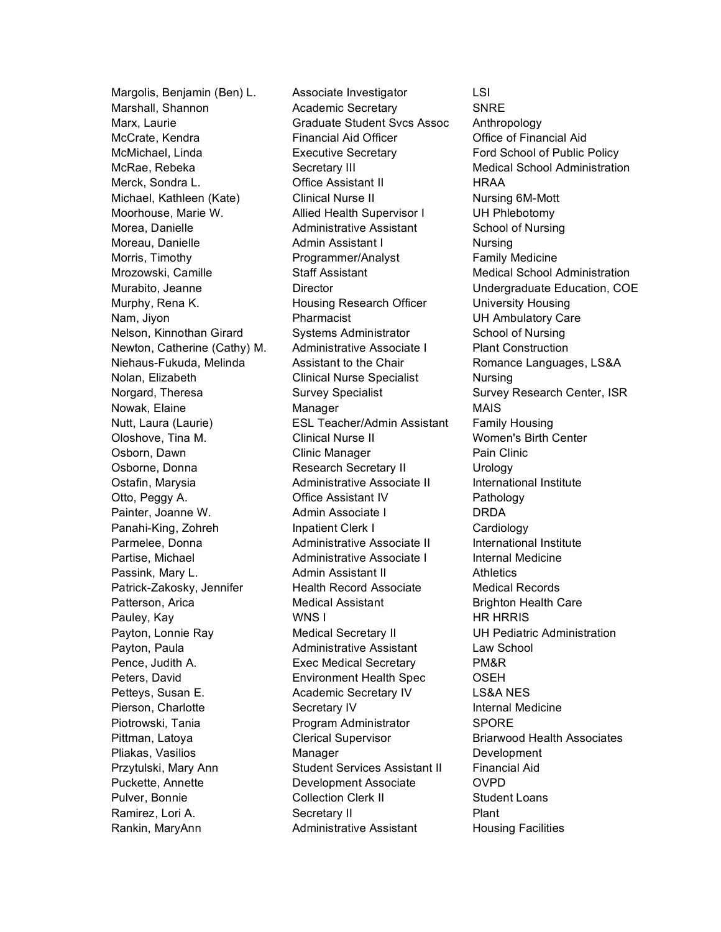Margolis, Benjamin (Ben) L. Associate Investigator LSI Marshall, Shannon **Academic Secretary** SNRE Marx, Laurie Graduate Student Svcs Assoc Anthropology McCrate, Kendra **Financial Aid Officer** Office of Financial Aid Officer McMichael, Linda Executive Secretary Ford School of Public Policy Merck, Sondra L. Office Assistant II HRAA Michael, Kathleen (Kate) Clinical Nurse II Nursing 6M-Mott Moorhouse, Marie W. Allied Health Supervisor I UH Phlebotomy Morea, Danielle **Administrative Assistant** School of Nursing Moreau, Danielle Admin Assistant I Nursing Morris, Timothy **Example 2** Programmer/Analyst Family Medicine Murphy, Rena K. Housing Research Officer University Housing Nam, Jiyon Pharmacist UH Ambulatory Care Nelson, Kinnothan Girard Systems Administrator School of Nursing Newton, Catherine (Cathy) M. Administrative Associate I Plant Construction Niehaus-Fukuda, Melinda Assistant to the Chair Romance Languages, LS&A Nolan, Elizabeth Clinical Nurse Specialist Nursing Nowak, Elaine Manager Manager MAIS Nutt, Laura (Laurie) ESL Teacher/Admin Assistant Family Housing Oloshove, Tina M. Clinical Nurse II Women's Birth Center Osborn, Dawn **Clinic Manager** Pain Clinic Manager Osborne, Donna Research Secretary II Urology Ostafin, Marysia **Administrative Associate II** International Institute Otto, Peggy A. **Communist Contract Contract Contract Contract Contract Contract Contract Pathology** Painter, Joanne W. **Admin Associate I** DRDA Panahi-King, Zohreh Inpatient Clerk I Cardiology Parmelee, Donna **Administrative Associate II** International Institute Partise, Michael **Administrative Associate I**nternal Medicine Passink, Mary L. **Admin Assistant II** Athletics Patrick-Zakosky, Jennifer Health Record Associate Medical Records Patterson, Arica **Medical Assistant** Brighton Health Care Pauley, Kay No. 2008 NOVIET NO. 2014 NOVEMBER 1998 NOVEMBER 1999 NOVEMBER 1999 NO Payton, Lonnie Ray **Medical Secretary II** UH Pediatric Administration Payton, Paula **Administrative Assistant** Law School Pence, Judith A. **Exec Medical Secretary** PM&R Peters, David **Environment Health Spec OSEH** Petteys, Susan E. **Academic Secretary IV** LS&A NES Pierson, Charlotte **Secretary IV Internal Medicine** Piotrowski, Tania **Program Administrator** SPORE Pittman, Latoya **Clerical Supervisor** Briarwood Health Associates Pliakas, Vasilios **Manager** Manager **Development** Przytulski, Mary Ann Student Services Assistant II Financial Aid Puckette, Annette Development Associate OVPD Pulver, Bonnie **Collection Clerk II** Student Loans Ramirez, Lori A. Secretary II and Secretary II and the Plant Rankin, MaryAnn **Administrative Assistant** Housing Facilities

McRae, Rebeka Secretary III Medical School Administration Mrozowski, Camille **Staff Assistant** Medical School Administration Murabito, Jeanne Director Undergraduate Education, COE Norgard, Theresa **Survey Specialist** Survey Research Center, ISR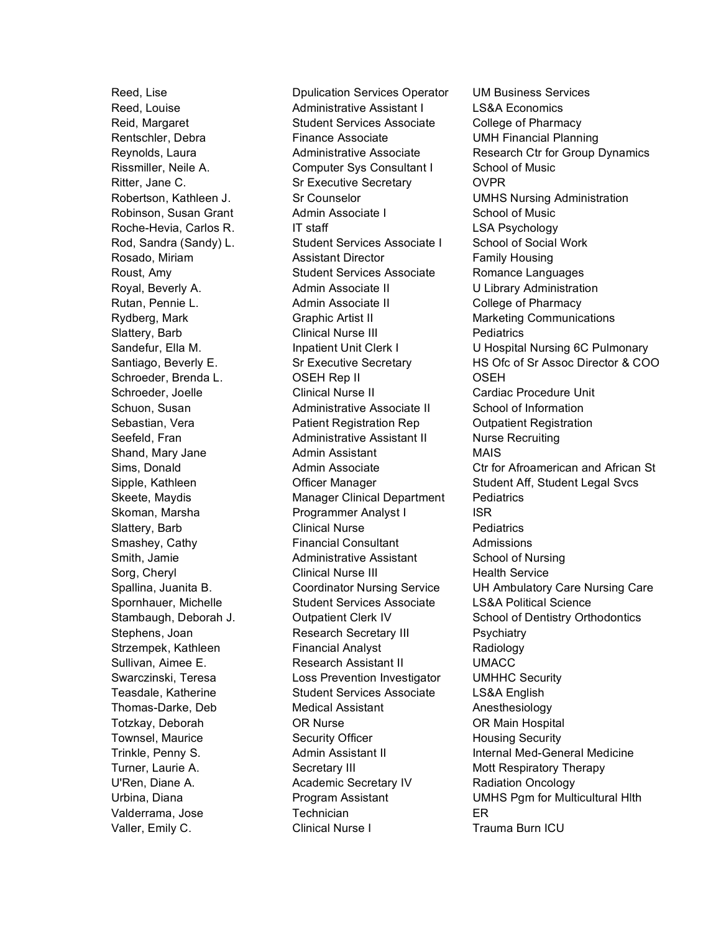Reed, Lise Dpulication Services Operator UM Business Services Reed, Louise **Administrative Assistant I** LS&A Economics Reid, Margaret **Student Services Associate** College of Pharmacy Rentschler, Debra **Finance Associate Finance Associate** UMH Financial Planning Rissmiller, Neile A. Computer Sys Consultant I School of Music Ritter, Jane C. Sr Executive Secretary OVPR Robinson, Susan Grant Admin Associate I School of Music Roche-Hevia, Carlos R. IT staff **Intervalle State LSA Psychology** Rod, Sandra (Sandy) L. Student Services Associate I School of Social Work Rosado, Miriam **Assistant Director** Family Housing Roust, Amy **Student Services Associate** Romance Languages Royal, Beverly A. Admin Associate II U Library Administration Rutan, Pennie L. **Admin Associate II** College of Pharmacy Rydberg, Mark **Graphic Artist II** Marketing Communications Slattery, Barb **Clinical Nurse III** Pediatrics Schroeder, Brenda L. CSEH Rep II CSEH Schroeder, Joelle **Clinical Nurse II** Cardiac Procedure Unit Schuon, Susan **Administrative Associate II** School of Information Sebastian, Vera **Patient Registration Rep** Outpatient Registration Seefeld, Fran **Administrative Assistant II** Nurse Recruiting Shand, Mary Jane **Admin Assistant** MAIS Skeete, Maydis **Manager Clinical Department** Pediatrics Skoman, Marsha **Programmer Analyst I** ISR Slattery, Barb **Clinical Nurse** Pediatrics Smashey, Cathy **Financial Consultant** Admissions Smith, Jamie **Administrative Assistant** School of Nursing Sorg, Cheryl **Clinical Nurse III** Health Service Spornhauer, Michelle **Student Services Associate** LS&A Political Science Stephens, Joan **Research Secretary III** Psychiatry Strzempek, Kathleen Financial Analyst Radiology Sullivan, Aimee E. Research Assistant II UMACC Swarczinski, Teresa Loss Prevention Investigator UMHHC Security Teasdale, Katherine **Student Services Associate** LS&A English Thomas-Darke, Deb Medical Assistant Anesthesiology Totzkay, Deborah OR Nurse OR Main Hospital Townsel, Maurice **Security Officer Housing Security** Turner, Laurie A. Turners, Secretary III Turners, Mott Respiratory Therapy U'Ren, Diane A. **Academic Secretary IV** Radiation Oncology Valderrama, Jose **Technician** Technician ER Valler, Emily C. Clinical Nurse I Trauma Burn ICU

Reynolds, Laura **Administrative Associate** Research Ctr for Group Dynamics Robertson, Kathleen J. Sr Counselor UMHS Nursing Administration Sandefur, Ella M. **Inpatient Unit Clerk I** U Hospital Nursing 6C Pulmonary Santiago, Beverly E. Sr Executive Secretary HS Ofc of Sr Assoc Director & COO Sims, Donald **Admin Associate** Ctr for Afroamerican and African St Sipple, Kathleen **Officer Manager** Student Aff, Student Legal Svcs Spallina, Juanita B. Coordinator Nursing Service UH Ambulatory Care Nursing Care Stambaugh, Deborah J. Cutpatient Clerk IV School of Dentistry Orthodontics Trinkle, Penny S. Admin Assistant II Internal Med-General Medicine Urbina, Diana Program Assistant UMHS Pgm for Multicultural Hlth